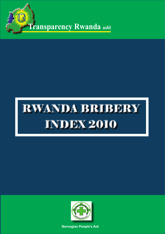**Transparency Rwanda asbl**

# RWANDA BRIBERY INDEX 2010



**Norvegian People's Aid**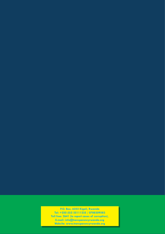# **P.O. Box. 6252 Kigali, Rwanda**

RWANDA BRIBERY

**P.O. Box. 6252 Kigali, Rwanda**<br>Tel: +250 (0)2 55111235 / 0788309583 **Toll free: 2641 (to report cases of corruption), E-mail: info@transparencyrwanda.org Website: www.transparencyrwanda.org**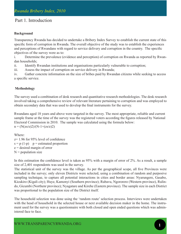# Part 1. Introduction

## **Background**

Transparency Rwanda has decided to undertake a Bribery Index Survey to establish the current state of this specific form of corruption in Rwanda. The overall objective of the study was to establish the experiences and perceptions of Rwandans with regard to service delivery and corruption in the country. The specific objectives of the survey were as to:

i. Determine the prevalence (evidence and perception) of corruption on Rwanda as reported by Rwandan households;

ii. Identify Rwandan institutions and organisations particularly vulnerable to corruption;

iii. Assess the impact of corruption on service delivery in Rwanda;

iv. Gather concrete information on the size of bribes paid by Rwandan citizens while seeking to access a specific service.

# **Methodology**

The survey used a combination of desk research and quantitative research methodologies. The desk research involved taking a comprehensive review of relevant literature pertaining to corruption and was employed to obtain secondary data that was used to develop the final instruments for the survey.

Rwandans aged 18 years and above were targeted in the survey. The most appropriate, reliable and current sample frame at the time of the survey was the registered voters according the figures released by National Electoral Commission in 2010. The sample was calculated using the formula below:  $n = (N(zs/e)2)/(N-1+(zs/e)2)$ 

Where: z= 1.96 for 95% level of confidence  $s = p(1-p)$  p = estimated proportion e = desired margin of error  $N =$  population size

In this estimation the confidence level is taken as 95% with a margin of error of 2%. As a result, a sample size of 2,401 respondents was used in the survey.

The statistical unit of the survey was the village. As per the geographical scope, all five Provinces were included in the survey; only eleven Districts were selected, using a combination of random and purposive sampling technique, to capture all potential interactions in cities and border areas: Nyarungere, Gasabo, Kicukiro (Kigali city); Huye, Kamonyi (Southern province); Rubavu, Ngororero (Western province), Rulindo, Gicumbi (Northenr province); Nyagatare and Kirehe (Eastern province). The sample size in each District was proportional to the population size of the District itself.

The household selection was done using the 'random route' selection process. Interviews were undertaken with the head of household in the selected house or next available decision maker in the home. The instrument used for the survey was a questionnaire with both closed and open ended questions which was administered face to face.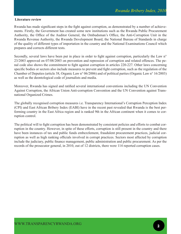#### **Literature review**

Rwanda has made significant steps in the fight against corruption, as demonstrated by a number of achievements. Firstly, the Government has created some new institutions such as the Rwanda Public Procurement Authority, the Office of the Auditor General, the Ombudsman's Office, the Anti-Corruption Unit in the Rwanda Revenue Authority, the Rwanda Development Board, the National Bureau of Standards in charge of the quality of different types of importation in the country and the National Examinations Council which prepares and corrects different tests.

Secondly, several laws have been put in place in order to fight against corruption, particularly the Law n<sup>o</sup> 23/2003 approved on 07/08/2003 on prevention and repression of corruption and related offences. The penal code also shows the commitment to fight against corruption in articles 220-227. Other laws concerning specific bodies or sectors also include measures to prevent and fight corruption, such as the regulation of the Chamber of Deputies (article 38, Organic Law n° 06/2006) and of political parties (Organic Law n° 16/2003) as well as the deontological code of journalists and media.

Moreover, Rwanda has signed and ratified several international conventions including the UN Convention Against Corruption, the African Union Anti-corruption Convention and the UN Convention against Transnational Organized Crimes.

The globally recognised corruption measures i.e. Transparency International's Corruption Perception Index (CPI) and East African Bribery Index (EABI) have in the recent past revealed that Rwanda is the best performing country in the East Africa region and is ranked 9th in the African continent when it comes to corruption control.

The political will to fight corruption has been demonstrated by consistent policies and efforts to combat corruption in the country. However, in spite of these efforts, corruption is still present in the country and there have been instances of tax and public funds embezzlement, fraudulent procurement practices, judicial corruption as well as high ranking officials involved in corrupt practices. Sectors most affected by corruption include the judiciary, public finance management, public administration and public procurement. As per the records of the prosecutor general, in 2010, out of 12 districts, there were 114 reported corruption cases.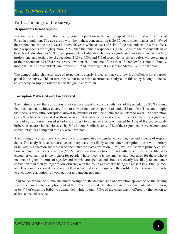# Part 2. Findings of the survey

# **Respondents Demographics**

The sample consists of predominantly young population in the age group of 18 to 35 that is reflective of Rwanda population. The age group with the highest concentration is 26-35 years which makes up 34.6% of the respondents while the lowest is above 56 years which consist of 8.4% of the respondents. In terms of sex, male respondents are slightly more (56%) than the female respondents (44%). Most of the respondents have basic level education, as 60.9% have primary level education, however significant minorities have secondary, professional and tertiary level education (19.3%, 6.8% and 3% of respondents respectively). Moreover, most of the respondents (75.7%) have a very low household income of less than 35,000 Rwf per month. Finally, more than half of respondents are farmers (61.9%), meaning that most respondents live in rural areas.

The demographic characteristics of respondents clearly indicates that very few high officials have participated in the survey. This in turn means that most bribe occurrences analysed in this study belong to the socalled petty corruption rather than to the grand corruption.

## **Corruption Witnessed and Encountered**

The findings reveal that corruption is not very prevalent in Rwanda with most of the population (82%) saying that they have not witnessed any form of corruption over the period of study (12 months). This could imply that there is very little corruption known in Rwanda or that the public are reluctant to reveal the corruption cases they have witnessed. For those who admit to have witnessed corrupt practices, the most significant form of corruption witnessed is bribery. Bribery to obtain service is witnessed by 11% of the people while bribery to secure a job is witnessed by 3% of them. Similarly, only 17% of the respondents have encountered corrupt practices compared to 83% who have not.

The finding on corruption encountered was disaggregated by gender, education, age and income of respondents. The analysis reveals that educated people are less likely to encounter corruption: those with tertiary or university education are those who encounter the least corruption (3.5%) while those with primary education encounter the most corruption (55.9%). An even stronger link is found with income, as the likelihood to encounter corruption is the highest for people whose income is the smallest and decreases for those whose income is higher. In terms of age, Rwandans who are aged 36 and above are clearly less likely to encounter corruption than their younger fellow citizens, with the 26-35 age bracket being the most at risk. Finally, men are clearly more exposed to corruption than women. As a consequence, the profile of the person most likely to encounter corruption is a young, poor and uneducated man.

In instances where the public encounter corruption, the demand side of corruption appears to be the driving force in encouraging corruption: out of the 17% of respondents who declared they encountered corruption, in 69.9% of cases the bribe was demanded while in only 7.8% of the cases was it offered by the person to access a needed service.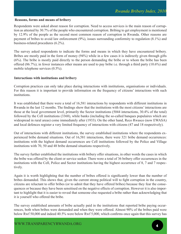#### **Reasons, forms and means of bribery**

Respondents were asked about reason for corruption. Need to access services is the main reason of corruption as attested by 30.7% of the people who encountered corruption. Bribing to get employment is mentioned by 12.9% of the people as the second most common reason of corruption in Rwanda. Other reasons are payment of bribes to avoid law enforcement (9%), issues surrounding conformity to regulation (8.1%) and business-related procedures (6.2%).

The survey asked respondents to indicate the forms and means in which they have encountered bribery. Bribes are mostly paid in the form of money (94%) while in a few cases it is indirectly given through gifts (6%). The bribe is mostly paid directly to the person demanding the bribe or to whom the bribe has been offered (86.7%); in fewer instances other means are used to pay bribe i.e. through a third party (10.6%) and mobile telephone services (0.5%).

#### **Interactions with institutions and bribery**

Corruption practices can only take place during interactions with institutions, organisations or individuals. For this reason it is important to provide information on the frequency of citizens' interactions with such institutions.

It was established that there were a total of 16,581 interactions by respondents with different institutions in Rwanda in the last 12 months. The findings show that the institutions with the most citizens' interactions are those at the local government level, primarily the Sector institutions (5044 interactions, 30.4% of the total) followed by the Cell institutions (3368), while banks (including the so-called banques populaires which are widespread in rural areas) come immediately after (1933). On the other hand, Reco Rwasco (now EWASA) and local defences register a very limited frequency of interactions with citizens (47 and 18 respectively).

Out of interactions with different institutions, the survey established institutions where the respondents experienced bribe demand situations. Out of 16,581 interactions, there were 321 bribe demand occurrences: institutions with the highest demand occurrences are Cell institutions followed by the Police and Village institutions with 70, 50 and 48 bribe demand situations respectively.

The survey further established the institutions with bribery offer situations, in other words the cases in which the bribe was offered by the client or service seeker. There were a total of 36 bribery offer occurrences in the institutions with the Cell, Police and Sector institutions having the highest occurrence of 8, 7 and 7 respectively.

Again it is worth highlighting that the number of bribes offered is significantly lower than the number of bribes demanded. This shows that, given the current strong political will to fight corruption in the country, citizens are reluctant to offer bribes (or to admit that they have offered bribes) because they fear the consequences or because they have been sensitised on the negative effects of corruption. However it is also important to highlight that it is easier to reveal that someone else requested a bribe rather than acknowledging that it is yourself who offered the bribe.

The survey established amounts of bribe actually paid in the institutions that reported bribe paying occurrences, both when bribes were demanded and when they were offered. Almost 90% of the bribes paid were below Rwf 50,000 and indeed 40.5% were below Rwf 5,000, which confirms once again that this survey has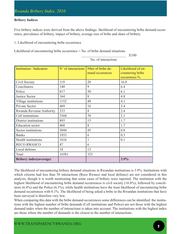## **Bribery Indices**

Five bribery indices were derived from the above findings: likelihood of encountering bribe demand occurrence, prevalence of bribery, impact of bribery, average size of bribe and share of bribery.

1. Likelihood of encountering bribe occurrence

Likelihood of encountering bribe occurrence = No. of bribe demand situations

 $\sim$  X100

| <b>Institution</b> / Indicators | N" of interactions | Nber of bribe de-<br>mand occurences | Likelihood of en-<br>countering bribe<br>occurrence-% |
|---------------------------------|--------------------|--------------------------------------|-------------------------------------------------------|
| Civil Society                   | 119                | 20                                   | 16.8                                                  |
| Conciliators                    | 140                | 9                                    | 6.4                                                   |
| Police                          | 817                | 50                                   | 6.1                                                   |
| <b>Justice Sector</b>           | 164                | 8                                    | 4.8                                                   |
| Village institutions            | 1152               | 48                                   | 4.1                                                   |
| Private Sector                  | 469                | 16                                   | 3.4                                                   |
| Rwanda Revenue Authority        | 333                | 8                                    | 2.4                                                   |
| Cell institutions               | 3368               | 70                                   | 2.1                                                   |
| District institutions           | 893                | 15                                   | 1.7                                                   |
| <b>Education</b> sector         | 468                | 8                                    | 1.7                                                   |
| Sector institutions             | 5044               | 45                                   | 0.8                                                   |
| <b>Banks</b>                    | 1933               | 6                                    | 0.3                                                   |
| Health institutions             | 1616               |                                      | 0.1                                                   |
| <b>RECO RWASCO</b>              | 47                 | 6                                    |                                                       |
| Local defense                   | 18                 | 13                                   |                                                       |
| Total                           | 16581              | 323                                  |                                                       |
| <b>Bribery index (average)</b>  |                    |                                      | 3.9%                                                  |

No. of interactions

The likelihood of encountering bribery demand situations in Rwandan institutions is 3.9%. Institutions with which citizens had less than 50 interactions (Reco Rwasco and local defence) are not considered in this analysis, though it is worth mentioning that some cases of bribery were reported. The institution with the highest likelihood of encountering bribe demand occurrences is civil society (16.8%), followed by conciliators (6.4%) and the Police (6.1%), while health institutions have the least likelihood of encountering bribe demand occurrences with 0.1%. The likelihood of being asked a bribe in the Rwandan institutions that have been surveyed is therefore very low.

When comparing this data with the bribe demand occurrences some differences can be identified: the institutions with the highest number of bribe demands (Cell institutions and Police) are not those with the highest demand index when the number of interactions is taken into account. The institutions with the highest index are those where the number of demands is the closest to the number of interactions.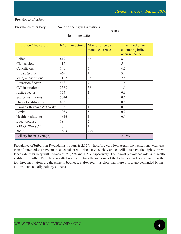Prevalence of bribery

Prevalence of bribery  $=$  No. of bribe paying situations

 $X100$ 

No. of interactions

| <b>Institution</b> / Indicators | N" of interactions | Nber of bribe de- | Likelihood of en- |
|---------------------------------|--------------------|-------------------|-------------------|
|                                 |                    | mand occurences   | countering bribe  |
|                                 |                    |                   | occurrence-%      |
| Police                          | 817                | 66                | 8                 |
| Civil society                   | 119                | 6                 | 5                 |
| Conciliators                    | 140                | 6                 | 4.2               |
| Private Sector                  | 469                | 15                | 3.2               |
| Village institutions            | 1152               | 33                | 2.8               |
| <b>Education Sector</b>         | 468                | $\overline{7}$    | 1.4               |
| Cell institutions               | 3368               | 38                | 1.1               |
| Justice sector                  | 164                |                   | 0.6               |
| Sector institutions             | 5044               | 35                | 0.6               |
| District institutions           | 893                | 5                 | 0.5               |
| Rwanda Revenue Authority        | 333                | 1                 | 0.3               |
| <b>Banks</b>                    | 1933               | 5                 | 0.2               |
| Health institutions             | 1616               | 1                 | 0.1               |
| Local defense                   | 18                 | 7                 |                   |
| <b>RECO RWASCO</b>              | 47                 |                   |                   |
| <b>Total</b>                    | 16581              | 227               |                   |
| Bribery index (average)         |                    |                   | 2.15%             |

Prevalence of bribery in Rwanda institutions is 2.15%, therefore very low. Again the institutions with less than 50 interactions have not been considered. Police, civil society and conciliators have the highest prevalence rate of bribery with indices of 8%, 5% and 4.2% respectively. The lowest prevalence rate is in health institutions with 0.1%. These results broadly confirm the outcome of the bribe demand occurrences, as the top three institutions are the same in both cases. However it is clear that more bribes are demanded by institutions than actually paid by citizens.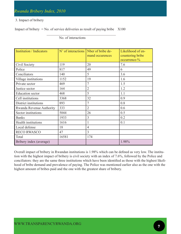## 3. Impact of bribery

Impact of bribery  $=$  No. of service deliveries as result of paying bribe  $X100$ 

 $\mathcal{L}_\mathcal{L}$  , which is a set of the set of the set of the set of the set of the set of the set of the set of the set of the set of the set of the set of the set of the set of the set of the set of the set of the set of

| <b>Institution</b> / Indicators | N" of interactions   Nber of bribe de- | mand occurences | Likelihood of en-<br>countering bribe<br>occurrence-% |
|---------------------------------|----------------------------------------|-----------------|-------------------------------------------------------|
| Civil Society                   | 119                                    | 20              | 7.6                                                   |
| Police                          | 817                                    | 49              | 6                                                     |
| Conciliators                    | 140                                    | 5               | 3.6                                                   |
| Village institutions            | 1152                                   | 19              | 1.6                                                   |
| Private sector                  | 469                                    | $\overline{7}$  | 1.5                                                   |
| Justice sector                  | 164                                    | $\overline{2}$  | 1.2                                                   |
| <b>Education</b> sector         | 468                                    | 5               | 1.1                                                   |
| Cell institutions               | 3368                                   | 32              | 0.9                                                   |
| District institutions           | 893                                    | 7               | 0.8                                                   |
| Rwanda Revenue Authority        | 333                                    | $\overline{2}$  | 0.6                                                   |
| Sector institutions             | 5044                                   | 26              | 0.5                                                   |
| <b>Banks</b>                    | 1933                                   | 3               | 0.2                                                   |
| Health institutions             | 1616                                   |                 | 0.1                                                   |
| Local defense                   | 18                                     | $\overline{4}$  |                                                       |
| <b>RECO RWASCO</b>              | 47                                     | 3               |                                                       |
| Total                           | 16581                                  | 174             |                                                       |
| Bribery index (average)         |                                        |                 | 1.98%                                                 |

No. of interactions

Overall impact of bribery in Rwandan institutions is 1.98% which can be defined as very low. The institution with the highest impact of bribery is civil society with an index of 7.6%, followed by the Police and conciliators: they are the same three institutions which have been identified as those with the highest likelihood of bribe demand and prevalence of paying. The Police was mentioned earlier also as the one with the highest amount of bribes paid and the one with the greatest share of bribery.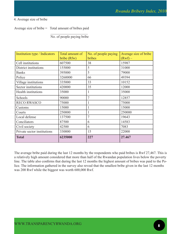# 4. Average size of bribe

Average size of bribe  $=$  Total amount of bribes paid

 $\mathcal{L}=\frac{1}{2}$  , where  $\mathcal{L}=\frac{1}{2}$  , where  $\mathcal{L}=\frac{1}{2}$ No. of people paying bribe

| Institution type / Indicators | Total amount of<br>bribe (Rfw) | No. of people paying<br>bribes | Average size of bribe<br>$(Rwf)$ – |
|-------------------------------|--------------------------------|--------------------------------|------------------------------------|
| Cell institutions             | 607500                         | 38                             | 15987                              |
| District institutions         | 155000                         | 5                              | 31000                              |
| <b>Banks</b>                  | 395000                         | 5                              | 79000                              |
| Police                        | 3260000                        | 66                             | 49394                              |
| Village institutions          | 335000                         | 33                             | 10152                              |
| Sector institutions           | 420000                         | 35                             | 12000                              |
| Health institutions           | 35000                          |                                | 35000                              |
| Schools                       | 90000                          | $\overline{7}$                 | 12857                              |
| <b>RECO RWASCO</b>            | 75000                          |                                | 75000                              |
| Customs                       | 15000                          | 1                              | 15000                              |
| Courts                        | 250000                         | 1                              | 250000                             |
| Local defense                 | 137500                         | 7                              | 19643                              |
| Conciliators                  | 87500                          | 6                              | 14583                              |
| Civil society                 | 42500                          | 6                              | 7083                               |
| Private sector institutions   | 330000                         | 15                             | 22000                              |
| Total                         | 6235000                        | 227                            | 27.467                             |

The average bribe paid during the last 12 months by the respondents who paid bribes is Rwf 27,467. This is a relatively high amount considered that more than half of the Rwandan population lives below the poverty line. The table also confirms that during the last 12 months the highest amount of bribes was paid to the Police. The information gathered in the survey also reveal that the smallest bribe given in the last 12 months was 200 Rwf while the biggest was worth 600,000 Rwf.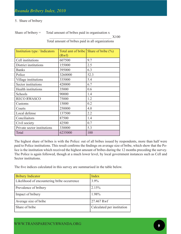### 5. Share of bribery

Share of bribery  $=$  Total amount of bribes paid in organisation x  $\sim$  X100 Total amount of bribes paid in all organizations

Institution type / Indicators (Rwf) Total amt of bribe  $\vert$  Share of bribe  $\vert\%$ ) Cell institutions  $\begin{bmatrix} 607500 \end{bmatrix}$  9.7 District institutions 155000 2.5 Banks | 395000 | 6.3 Police 3260000 52.3 Village institutions  $\begin{array}{|l|}\n 335000 \end{array}$  5.4 Sector institutions  $|420000|$  6.7 Health institutions  $\begin{array}{|l|c|c|c|c|} \hline 35000 & & 0.6 \hline \end{array}$ Schools 90000 1.4 RECO RWASCO 75000 1.2 Customs 15000 0.2 Courts 250000 4.0 Local defense 137500 2.2 Conciliaitors 87500 1.4 Civil society  $|42500|$  0.7 Private sector institutions  $\begin{bmatrix} 330000 \end{bmatrix}$  5.3 Total 100

The highest share of bribes is with the Police: out of all bribes issued by respondents, more than half were paid to Police institutions. This result confirms the findings on average size of bribe, which show that the Police is the institution which received the highest amount of bribes during the 12 months preceding the survey. The Police is again followed, though at a much lower level, by local government instances such as Cell and Sector institutions.

The five indices calculated in this survey are summarised in the table below.

| <b>Bribery Indicator</b>                    | Index                      |
|---------------------------------------------|----------------------------|
| Likelihood of encountering bribe occurrence | $3.9\%$                    |
| Prevalence of bribery                       | 2.15%                      |
| Impact of bribery                           | 1.98%                      |
| Average size of bribe                       | 27.467 Rwf                 |
| Share of bribe                              | Calculated per institution |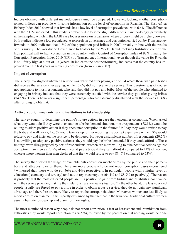Indices obtained with different methodologies cannot be compared. However, looking at other corruptionrelated indices can provide with some information on the level of corruption in Rwanda. The East Africa Bribery Index 2010 showed that Rwanda has a low level of corruption prevalence, with 6.6%. The difference with the 2.15% indicated in this study is probably due to some slight differences in methodology, particularly in the sampling which in the EABI case focuses more on urban areas where bribery might be higher; however both studies indicate a low prevalence. A research on governance and corruption carried out by Transparency Rwanda in 2009 indicated that 1.8% of the population paid bribes in 2007, broadly in line with the results of this survey. The Worldwide Governance Indicators by the World Bank/Brookings Institution confirm the high political will to fight corruption in the country, with a Control of Corruption index of 98%. Finally the Corruption Perception Index 2010 (CPI) by Transparency International, even though the value for Rwanda is still fairly high at 4 out of 10 (where 10 indicates the best performers), indicates that the country has improved over the last years in reducing corruption (from 2.8 in 2007).

# **Impact of corruption**

The survey investigated whether a service was delivered after paying a bribe. 84.4% of those who paid bribes did receive the service after paying, while 15.6% did not receive the service. This question was of course not applicable to most respondent, who said they did not pay any bribe. Most of the people who admitted to engaging in bribery indicate that they were extremely satisfied with the service they got after giving bribes (74.5%). There is however a significant percentage who are extremely dissatisfied with the service (11.4%) after bribing to obtain it.

# **Anti-corruption mechanisms and institutions to take leadership**

The survey sought to determine the public's future actions in case they encounter corruption. When asked what they would do if they were to encounter a bribe demand situation, most respondents (78.1%) would be willing to adopt positive action if they encounter corruption in the future: 37% say they would refuse to pay the bribe and walk away, 35.3% would take a step further reporting the corrupt experience while 5.8% would refuse to pay and insist on the service to be delivered. However a significant number of respondents (20.5%) is not willing to adopt any positive action as they would pay the bribe demanded if they could afford it. These findings were disaggregated by sex of respondents: women are more willing to take positive actions against corruption than men as 25.5% of men would pay a bribe if they can afford it compared to 14% of women, whereas more women than men declared that they would refuse to pay (84.6% compared to 73%).

The survey then tested the usage of available anti corruption mechanisms by the public and their perceptions and attitudes towards them. There are more people who do not report corruption cases encountered / witnessed than those who do so: 56% and 44% respectively. In particular, people with a higher level of education (secondary and tertiary) tend not to report corruption (64.1% and 88.9% respectively). The reason is probably that the most educated people are in a position to gain from bribing and establish a connivance with the service provider, making their relationship a win-win situation. On the other hand, the less educated people usually are forced to pay a bribe in order to obtain a basic service; they do not gain any significant advantage and therefore are more likely to report the corrupt behaviour. Moreover, women are less likely to report corruption than men; this is partly explained by the fact that in the Rwandan traditional culture women usually hesitate to speak up and claim for their rights.

The most mentioned reason why people do not report corruption is fear of harassment and intimidation from authorities they would report corruption to (36.5%), followed by the perception that nothing would be done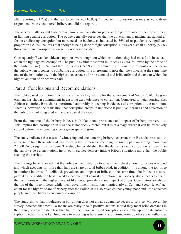after reporting (21.7%) and the fear to be marked (16.9%). Of course this question was only asked to those respondents who encountered bribery and did not report it.

The survey finally sought to determine how Rwandan citizens perceive the performance of their government in fighting against corruption. The public generally perceives that the government is making substantial effort in eradicating corruption but more needs to be done, as indicated by 56% of respondents. A significant proportion (35.8%) believes that enough is being done to fight corruption. However a small minority (5.2%) think that grand corruption is currently not being tackled.

Consequently, Rwandan citizens' opinions were sought on which institutions they had most faith in as leaders in the fight against corruption. The public exhibit most faith in Police (43.2%), followed by the office of the Ombudsman (17.6%) and the Presidency (15.5%). These three institutions inspire most confidence in the public when it comes to combating corruption. It is interesting to note that the Police is at the same time one of the institutions with the highest occurrence of bribe demand and bribe offer and the one to which the highest amount of bribes was paid.

# Part 3. Conclusions and Recommendations

The fight against corruption in Rwanda remains a key feature for the achievement of Vision 2020. The government has shown commitment in ensuring zero tolerance to corruption. Compared to neighbouring East African countries, Rwanda has performed admirably in keeping incidences of corruption to the minimum. There is, however, the realisation that corruption creeps in unnoticed if punitive measures and education of the public are not integrated in the war against the vice.

From the outcome of the bribery indices, both likelihood, prevalence and impact of bribery are very low. This implies that corruption in Rwanda is not deeply rooted but it is at a stage where it can be effectively curbed before the impending vice is given space to grow.

The study indicates that cases of witnessing and encountering bribery occurrences in Rwanda are also low, at the same time those who did pay bribes in the 12 months preceding the survey paid on average more than 27,000 Rwf, a significant amount. The study has established that the demand side of corruption is higher than the supply side i.e. institutions involved in service delivery initiate bribery situations more than the public seeking the service.

The findings have revealed that the Police is the institution to which the highest amount of bribes was paid and which accounts for more than half the share of total bribes paid; in addition, it is among the top three institutions in terms of likelihood, prevalence and impact of bribes; at the same time, the Police is also regarded as the institution best placed to lead the fight against corruption. Civil society also appears as one of the institutions with the highest level of likelihood, prevalence and impact of bribes. Conciliators are also at the top of the three indices, while local government institutions (particularly at Cell and Sector levels) account for the highest share of bribery after the Police. It is also revealed that young, poor and little educated people are more likely to encounter corruption.

The study shows that indulgence in corruption does not always guarantee access to service. Moreover, the survey indicates that most Rwandans are ready to take positive actions should they meet bribe demands in the future, however to date less than half of them have reported corruption cases to the appropriate anti-corruption mechanisms. A key hindrance to reporting is harassment and intimidation by officers in authorities